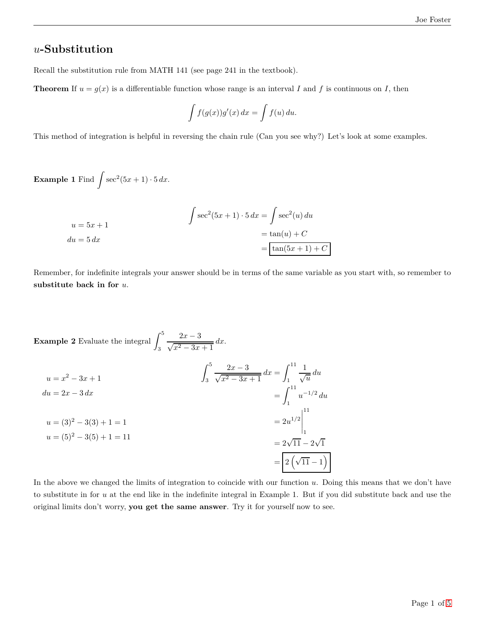#### *u***-Substitution**

Recall the substitution rule from MATH 141 (see page 241 in the textbook).

**Theorem** If  $u = g(x)$  is a differentiable function whose range is an interval *I* and *f* is continuous on *I*, then

$$
\int f(g(x))g'(x) dx = \int f(u) du.
$$

This method of integration is helpful in reversing the chain rule (Can you see why?) Let's look at some examples.

**Example 1** Find  $\int \sec^2(5x+1) \cdot 5 dx$ .

$$
\int \sec^2(5x+1) \cdot 5 \, dx = \int \sec^2(u) \, du
$$

$$
= \tan(u) + C
$$

$$
= \tan(5x+1) + C
$$

Remember, for indefinite integrals your answer should be in terms of the same variable as you start with, so remember to **substitute back in for** *u*.

**Example 2** Evaluate the integral  $\int_0^5$ 3  $\frac{2x-3}{\sqrt{x^2-3x+1}} dx.$ 

$$
u = x^{2} - 3x + 1
$$
\n
$$
du = 2x - 3 dx
$$
\n
$$
u = (3)^{2} - 3(3) + 1 = 1
$$
\n
$$
u = (5)^{2} - 3(5) + 1 = 11
$$
\n
$$
u = \frac{1}{2} \left[ \frac{2x - 3}{\sqrt{x^{2} - 3x + 1}} \right]_{1}^{11}
$$
\n
$$
= \left[ \frac{1}{2} u^{-1/2} du \right]_{1}^{11}
$$
\n
$$
= 2u^{1/2} \Big|_{1}^{11}
$$
\n
$$
= 2\sqrt{11} - 2\sqrt{11}
$$
\n
$$
= \boxed{2(\sqrt{11} - 1)}
$$

In the above we changed the limits of integration to coincide with our function *u*. Doing this means that we don't have to substitute in for *u* at the end like in the indefinite integral in Example 1. But if you did substitute back and use the original limits don't worry, **you get the same answer**. Try it for yourself now to see.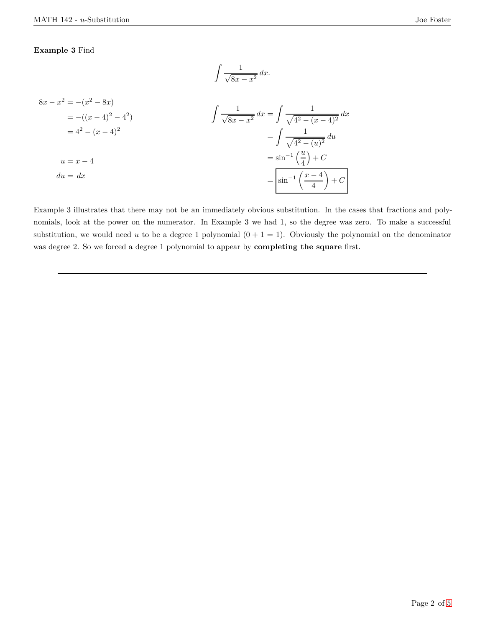#### **Example 3** Find

$$
\int \frac{1}{\sqrt{8x - x^2}} \, dx.
$$

$$
8x - x^{2} = -(x^{2} - 8x)
$$
  
= -((x - 4)^{2} - 4^{2})  
= 4^{2} - (x - 4)^{2}  
  

$$
u = x - 4
$$
  

$$
du = dx
$$
  

$$
\int \frac{1}{\sqrt{8x - x^{2}}} dx = \int \frac{1}{\sqrt{4^{2} - (x - 4)^{2}}} dx
$$
  

$$
= \int \frac{1}{\sqrt{4^{2} - (u)^{2}}} du
$$
  

$$
= \sin^{-1} \left(\frac{u}{4}\right) + C
$$
  

$$
= \sin^{-1} \left(\frac{x - 4}{4}\right) + C
$$

Example 3 illustrates that there may not be an immediately obvious substitution. In the cases that fractions and polynomials, look at the power on the numerator. In Example 3 we had 1, so the degree was zero. To make a successful substitution, we would need *u* to be a degree 1 polynomial  $(0 + 1 = 1)$ . Obviously the polynomial on the denominator was degree 2. So we forced a degree 1 polynomial to appear by **completing the square** first.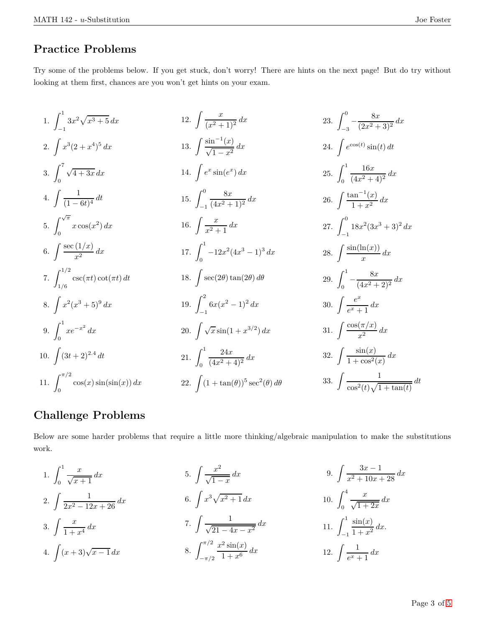#### **Practice Problems**

Try some of the problems below. If you get stuck, don't worry! There are hints on the next page! But do try without looking at them first, chances are you won't get hints on your exam.

1. 
$$
\int_{-1}^{1} 3x^2 \sqrt{x^3 + 5} \, dx
$$
  
\n2.  $\int x^3 (2 + x^4)^5 \, dx$   
\n3.  $\int_0^7 \sqrt{4 + 3x} \, dx$   
\n4.  $\int \frac{1}{(1-6t)^4} \, dt$   
\n5.  $\int_0^{\sqrt{\pi}} x \cos(x^2) \, dx$   
\n6.  $\int \frac{\sec(1/x)}{x^2} \, dx$   
\n7.  $\int_{1/6}^{1/2} \csc(\pi t) \cot(\pi t) \, dt$   
\n8.  $\int x^2 (x^3 + 5)^9 \, dx$   
\n9.  $\int_0^1 x e^{-x^2} \, dx$   
\n10.  $\int (3t + 2)^{2.4} \, dt$   
\n11.  $\int_0^{\pi/7} \cos(x) \sin(\sin(x)) \, dx$   
\n22.  $\int_0^1 (4x^2 + 1)^2 \, dx$   
\n23.  $\int_{-3}^0 - \frac{8x}{(2x^2 + 3)^2} \, dx$   
\n24.  $\int e^{\cos(t)} \sin(t) \, dt$   
\n25.  $\int_0^1 \frac{16x}{(4x^2 + 4)^2} \, dx$   
\n26.  $\int \frac{\tan^{-1}(x)}{1 + x^2} \, dx$   
\n27.  $\int_{-1}^0 18x^2 (3x^3 + 3)^2 \, dx$   
\n28.  $\int \frac{\sin(\ln(x))}{x} \, dx$   
\n29.  $\int_0^1 - \frac{8x}{(4x^2 + 2)^2} \, dx$   
\n30.  $\int \frac{e^x}{e^x + 1} \, dx$   
\n31.  $\int \frac{\cos(\pi/x)}{x^2} \, dx$   
\n32.  $\int \frac{\sin(x)}{1 + \cos^2(x)} \, dx$   
\n33.  $\int \frac{\cos(\pi/x)}{\cos(x) \sin(\sin(x))} \, dx$   
\n34.  $\int \frac{\cos(\pi/x)}{\cos(\pi/2)} \, dx$   
\n35.  $\int \frac{\cos$ 

#### **Challenge Problems**

Below are some harder problems that require a little more thinking/algebraic manipulation to make the substitutions work.

1. 
$$
\int_{0}^{1} \frac{x}{\sqrt{x+1}} dx
$$
  
\n2.  $\int \frac{1}{2x^{2} - 12x + 26} dx$   
\n3.  $\int \frac{x}{1+x^{4}} dx$   
\n4.  $\int (x+3)\sqrt{x-1} dx$   
\n5.  $\int \frac{x^{2}}{\sqrt{1-x}} dx$   
\n6.  $\int x^{3}\sqrt{x^{2}+1} dx$   
\n7.  $\int \frac{1}{\sqrt{21-4x-x^{2}}} dx$   
\n8.  $\int_{-\pi/2}^{\pi/2} \frac{x^{2} \sin(x)}{1+x^{6}} dx$   
\n9.  $\int \frac{3x-1}{x^{2}+10x+28} dx$   
\n10.  $\int_{0}^{4} \frac{x}{\sqrt{1+2x}} dx$   
\n11.  $\int_{-1}^{1} \frac{\sin(x)}{1+x^{2}} dx$   
\n12.  $\int \frac{1}{e^{x}+1} dx$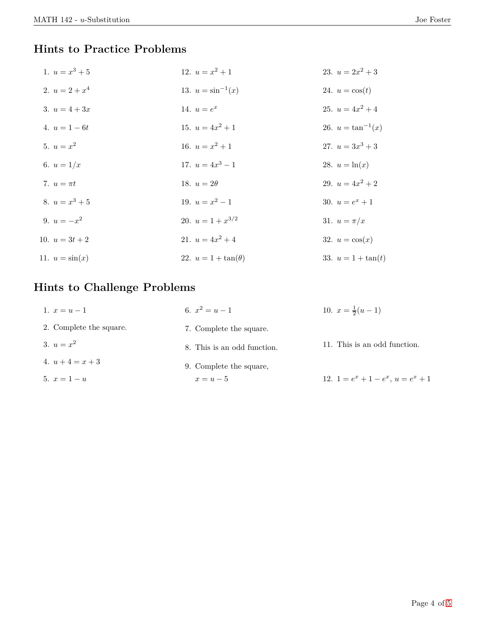### **Hints to Practice Problems**

| 1. $u = x^3 + 5$  | 12. $u = x^2 + 1$          | 23. $u = 2x^2 + 3$     |
|-------------------|----------------------------|------------------------|
| 2. $u = 2 + x^4$  | 13. $u = \sin^{-1}(x)$     | 24. $u = \cos(t)$      |
| 3. $u = 4 + 3x$   | 14. $u = e^x$              | 25. $u = 4x^2 + 4$     |
| 4. $u = 1 - 6t$   | 15. $u = 4x^2 + 1$         | 26. $u = \tan^{-1}(x)$ |
| 5. $u = x^2$      | 16. $u = x^2 + 1$          | 27. $u = 3x^3 + 3$     |
| 6. $u = 1/x$      | 17. $u = 4x^3 - 1$         | 28. $u = \ln(x)$       |
| 7. $u = \pi t$    | 18. $u=2\theta$            | 29. $u = 4x^2 + 2$     |
| 8. $u = x^3 + 5$  | 19. $u = x^2 - 1$          | 30. $u=e^x+1$          |
| 9. $u = -x^2$     | 20. $u = 1 + x^{3/2}$      | 31. $u = \pi/x$        |
| 10. $u = 3t + 2$  | 21. $u = 4x^2 + 4$         | 32. $u = \cos(x)$      |
| 11. $u = \sin(x)$ | 22. $u = 1 + \tan(\theta)$ | 33. $u = 1 + \tan(t)$  |

# **Hints to Challenge Problems**

| 1. $x = u - 1$          | 6. $x^2 = u - 1$            | 10. $x=\frac{1}{2}(u-1)$              |
|-------------------------|-----------------------------|---------------------------------------|
| 2. Complete the square. | 7. Complete the square.     |                                       |
| 3. $u = x^2$            | 8. This is an odd function. | 11. This is an odd function.          |
| 4. $u+4=x+3$            | 9. Complete the square,     |                                       |
| 5. $x = 1 - u$          | $x=u-5$                     | 12. $1 = e^x + 1 - e^x$ , $u = e^x +$ |

 $\bf{1}$